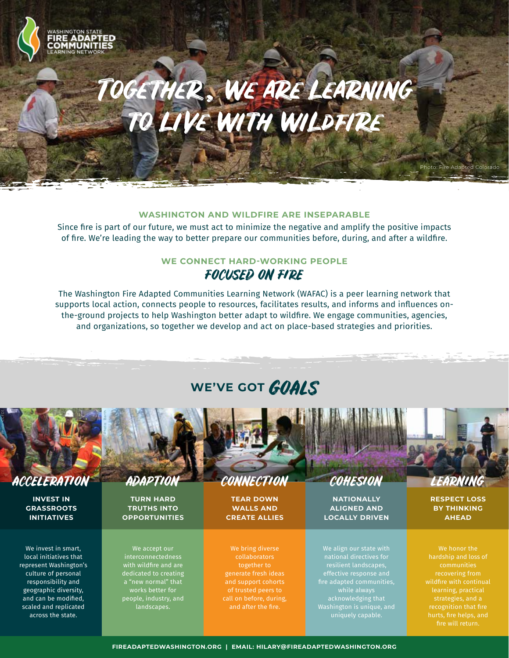# Together , we are learning to liVe with wildfire

#### **WASHINGTON AND WILDFIRE ARE INSEPARABLE**

Since fire is part of our future, we must act to minimize the negative and amplify the positive impacts of fire. We're leading the way to better prepare our communities before, during, and after a wildfire.

### **WE CONNECT HARD-WORKING PEOPLE**

### FOCUSED ON FIRE

The Washington Fire Adapted Communities Learning Network (WAFAC) is a peer learning network that supports local action, connects people to resources, facilitates results, and informs and influences onthe-ground projects to help Washington better adapt to wildfire. We engage communities, agencies, and organizations, so together we develop and act on place-based strategies and priorities.

## WE'VE GOT **GOALS**



### ACCELERATION ADAPTION CONNECTION COHESION LEARNING

**INVEST IN GRASSROOTS INITIATIVES**

We invest in smart, local initiatives that represent Washington's culture of personal responsibility and geographic diversity, and can be modified, scaled and replicated across the state.

**TURN HARD TRUTHS INTO OPPORTUNITIES**

We accept our interconnectedness with wildfire and are dedicated to creating a "new normal" that works better for people, industry, and landscapes.

**TEAR DOWN WALLS AND CREATE ALLIES**

We bring diverse collaborators together to generate fresh ideas and support cohorts of trusted peers to call on before, during,

**NATIONALLY ALIGNED AND LOCALLY DRIVEN**

We align our state with national directives for effective response and fire adapted communities, while always acknowledging that Washington is unique, and uniquely capable.

Photo: Fire Adapted Colorado

**RESPECT LOSS BY THINKING AHEAD**

We honor the recovering from learning, practical strategies, and a recognition that fire fire will return.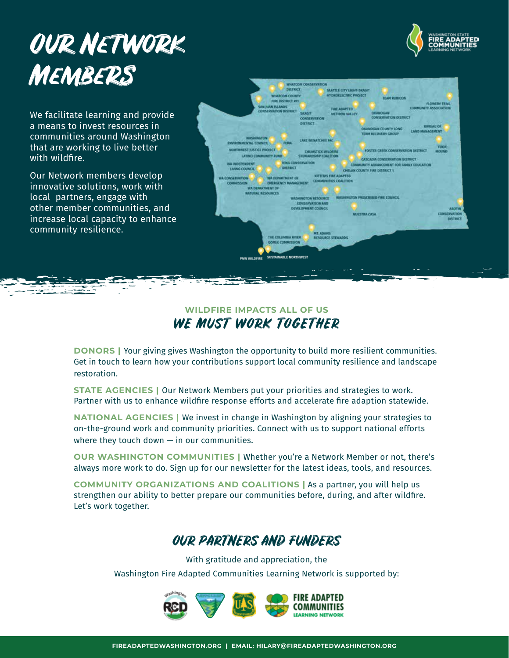## Our Network **MEMBERS**



We facilitate learning and provide a means to invest resources in communities around Washington that are working to live better with wildfire.

Our Network members develop innovative solutions, work with local partners, engage with other member communities, and increase local capacity to enhance community resilience.



#### **WILDFIRE IMPACTS ALL OF US** WE MUST WORK TOGETHER

**DONORS |** Your giving gives Washington the opportunity to build more resilient communities. Get in touch to learn how your contributions support local community resilience and landscape restoration.

**STATE AGENCIES | Our Network Members put your priorities and strategies to work.** Partner with us to enhance wildfire response efforts and accelerate fire adaption statewide.

**NATIONAL AGENCIES |** We invest in change in Washington by aligning your strategies to on-the-ground work and community priorities. Connect with us to support national efforts where they touch down  $-$  in our communities.

**OUR WASHINGTON COMMUNITIES |** Whether you're a Network Member or not, there's always more work to do. Sign up for our newsletter for the latest ideas, tools, and resources.

**COMMUNITY ORGANIZATIONS AND COALITIONS |** As a partner, you will help us strengthen our ability to better prepare our communities before, during, and after wildfire. Let's work together.

## OUR PARTNERS AND FUNDERS

With gratitude and appreciation, the Washington Fire Adapted Communities Learning Network is supported by:

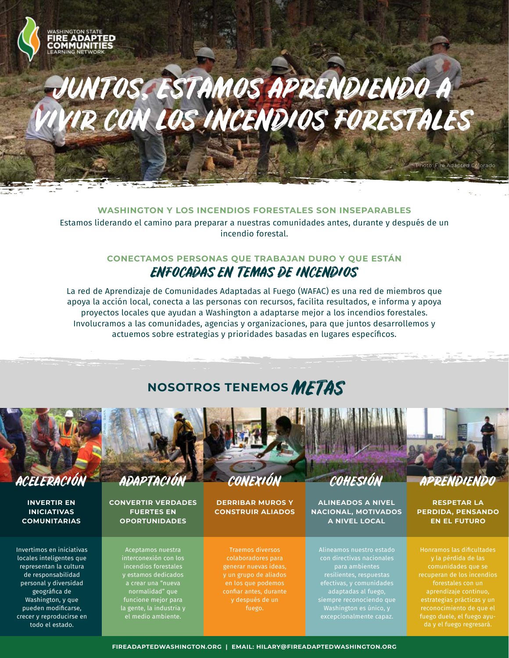# JUNTOS, ESTAMOS APRENDIENDO A VIVIR CON LOS INCENDIOS FORESTALES

#### **WASHINGTON Y LOS INCENDIOS FORESTALES SON INSEPARABLES**

Estamos liderando el camino para preparar a nuestras comunidades antes, durante y después de un incendio forestal.

#### **CONECTAMOS PERSONAS QUE TRABAJAN DURO Y QUE ESTÁN** ENFOCADAS EN TEMAS DE INCENDIOS

La red de Aprendizaje de Comunidades Adaptadas al Fuego (WAFAC) es una red de miembros que apoya la acción local, conecta a las personas con recursos, facilita resultados, e informa y apoya proyectos locales que ayudan a Washington a adaptarse mejor a los incendios forestales. Involucramos a las comunidades, agencias y organizaciones, para que juntos desarrollemos y actuemos sobre estrategias y prioridades basadas en lugares específicos.

## **NOSOTROS TENEMOS** METAS



ADA

**INVERTIR EN INICIATIVAS COMUNITARIAS**

Invertimos en iniciativas locales inteligentes que representan la cultura de responsabilidad personal y diversidad geográfica de Washington, y que pueden modificarse, crecer y reproducirse en todo el estado.

**CONVERTIR VERDADES FUERTES EN OPORTUNIDADES**

> Aceptamos nuestra interconexión con los y estamos dedicados a crear una "nueva normalidad" que funcione mejor para la gente, la industria y el medio ambiente.

**DERRIBAR MUROS Y CONSTRUIR ALIADOS**

Traemos diversos colaboradores para generar nuevas ideas, y un grupo de aliados confiar antes, durante y después de un fuego.

**ALINEADOS A NIVEL NACIONAL, MOTIVADOS A NIVEL LOCAL**

Alineamos nuestro estado efectivas, y comunidades adaptadas al fuego, Washington es único, y excepcionalmente capaz.

Photo: Fire Adapted Colorado

**RESPETAR LA PERDIDA, PENSANDO EN EL FUTURO**

Honramos las dificultades recuperan de los incendios forestales con un aprendizaje continuo, estrategias prácticas y un reconocimiento de que el fuego duele, el fuego ayuda y el fuego regresará.